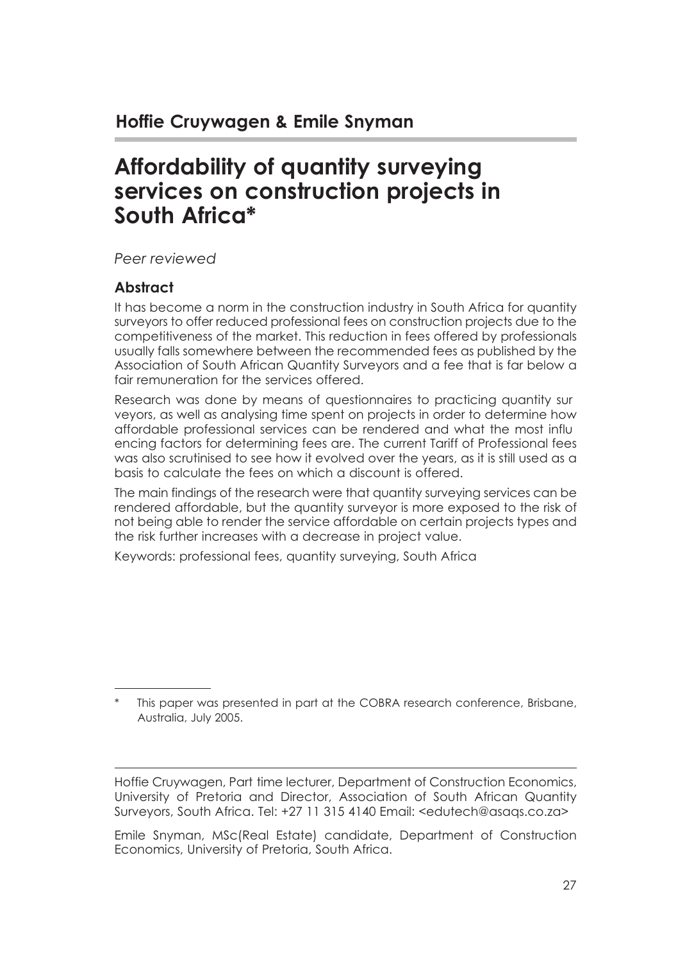# **Affordability of quantity surveying services on construction projects in South Africa\***

*Peer reviewed*

#### **Abstract**

It has become a norm in the construction industry in South Africa for quantity surveyors to offer reduced professional fees on construction projects due to the competitiveness of the market. This reduction in fees offered by professionals usually falls somewhere between the recommended fees as published by the Association of South African Quantity Surveyors and a fee that is far below a fair remuneration for the services offered

Research was done by means of questionnaires to practicing quantity sur veyors, as well as analysing time spent on projects in order to determine how affordable professional services can be rendered and what the most influ encing factors for determining fees are. The current Tariff of Professional fees was also scrutinised to see how it evolved over the years, as it is still used as a basis to calculate the fees on which a discount is offered.

The main findings of the research were that quantity surveying services can be rendered affordable, but the quantity surveyor is more exposed to the risk of not being able to render the service affordable on certain projects types and the risk further increases with a decrease in project value.

Keywords: professional fees, quantity surveying, South Africa

This paper was presented in part at the COBRA research conference, Brisbane, Australia, July 2005.

Hoffie Cruywagen, Part time lecturer, Department of Construction Economics, University of Pretoria and Director, Association of South African Quantity Surveyors, South Africa. Tel: +27 11 315 4140 Email: <edutech@asaqs.co.za>

Emile Snyman, MSc(Real Estate) candidate, Department of Construction Economics, University of Pretoria, South Africa.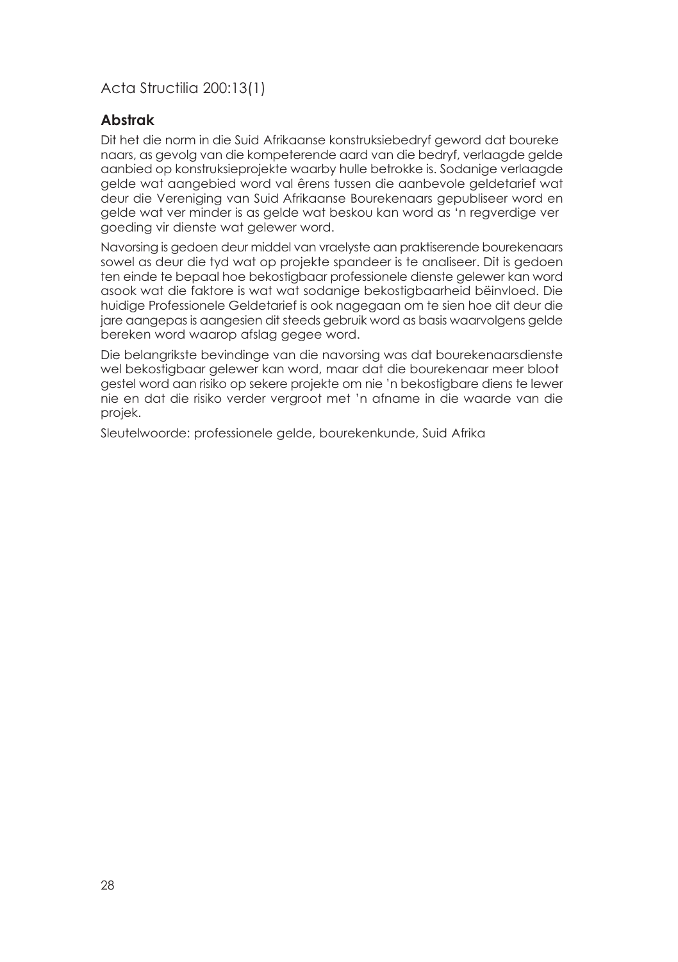#### **Abstrak**

Dit het die norm in die Suid Afrikaanse konstruksiebedryf geword dat boureke naars, as gevolg van die kompeterende aard van die bedryf, verlaagde gelde aanbied op konstruksieprojekte waarby hulle betrokke is. Sodanige verlaagde gelde wat aangebied word val êrens tussen die aanbevole geldetarief wat deur die Vereniging van Suid Afrikaanse Bourekenaars gepubliseer word en gelde wat ver minder is as gelde wat beskou kan word as 'n regverdige ver goeding vir dienste wat gelewer word.

Navorsing is gedoen deur middel van vraelyste aan praktiserende bourekenaars sowel as deur die tyd wat op projekte spandeer is te analiseer. Dit is gedoen ten einde te bepaal hoe bekostigbaar professionele dienste gelewer kan word asook wat die faktore is wat wat sodanige bekostigbaarheid bëinvloed. Die huidige Professionele Geldetarief is ook nagegaan om te sien hoe dit deur die jare aangepas is aangesien dit steeds gebruik word as basis waarvolgens gelde bereken word waarop afslag gegee word.

Die belangrikste bevindinge van die navorsing was dat bourekenaarsdienste wel bekostigbaar gelewer kan word, maar dat die bourekenaar meer bloot gestel word aan risiko op sekere projekte om nie 'n bekostigbare diens te lewer nie en dat die risiko verder vergroot met 'n afname in die waarde van die projek.

Sleutelwoorde: professionele gelde, bourekenkunde, Suid Afrika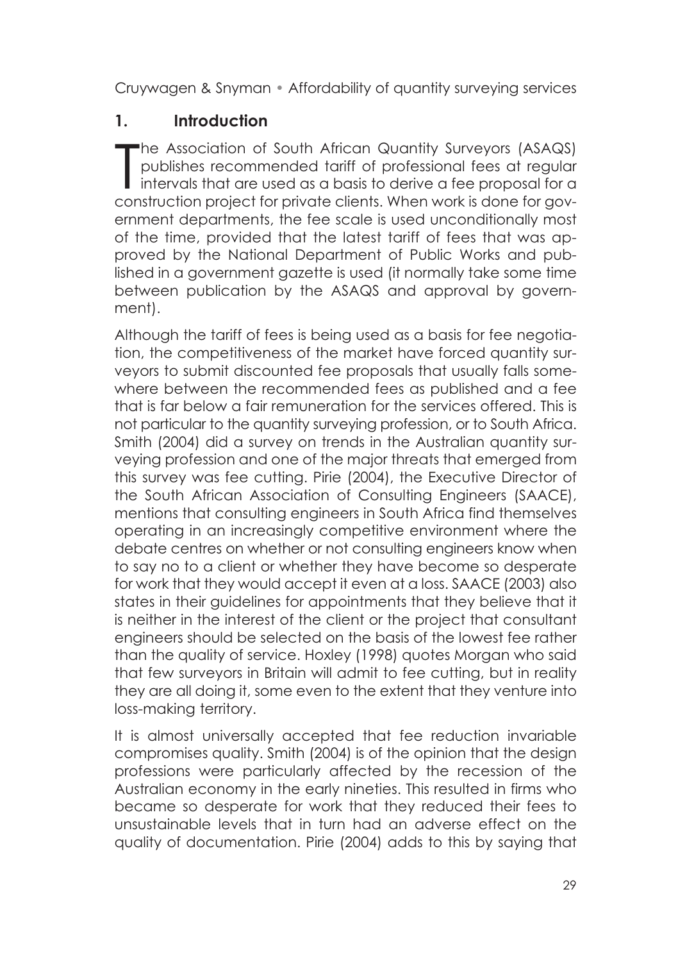### **1. Introduction**

The Association of South African Quantity Surveyors (ASAQS)<br>publishes recommended tariff of professional fees at regular<br>intervals that are used as a basis to derive a fee proposal for a<br>construction project for private cl he Association of South African Quantity Surveyors (ASAQS) publishes recommended tariff of professional fees at regular construction project for private clients. When work is done for government departments, the fee scale is used unconditionally most of the time, provided that the latest tariff of fees that was approved by the National Department of Public Works and published in a government gazette is used (it normally take some time between publication by the ASAQS and approval by government).

Although the tariff of fees is being used as a basis for fee negotiation, the competitiveness of the market have forced quantity surveyors to submit discounted fee proposals that usually falls somewhere between the recommended fees as published and a fee that is far below a fair remuneration for the services offered. This is not particular to the quantity surveying profession, or to South Africa. Smith (2004) did a survey on trends in the Australian quantity surveying profession and one of the major threats that emerged from this survey was fee cutting. Pirie (2004), the Executive Director of the South African Association of Consulting Engineers (SAACE), mentions that consulting engineers in South Africa find themselves operating in an increasingly competitive environment where the debate centres on whether or not consulting engineers know when to say no to a client or whether they have become so desperate for work that they would accept it even at a loss. SAACE (2003) also states in their guidelines for appointments that they believe that it is neither in the interest of the client or the project that consultant engineers should be selected on the basis of the lowest fee rather than the quality of service. Hoxley (1998) quotes Morgan who said that few surveyors in Britain will admit to fee cutting, but in reality they are all doing it, some even to the extent that they venture into loss-making territory.

It is almost universally accepted that fee reduction invariable compromises quality. Smith (2004) is of the opinion that the design professions were particularly affected by the recession of the Australian economy in the early nineties. This resulted in firms who became so desperate for work that they reduced their fees to unsustainable levels that in turn had an adverse effect on the quality of documentation. Pirie (2004) adds to this by saying that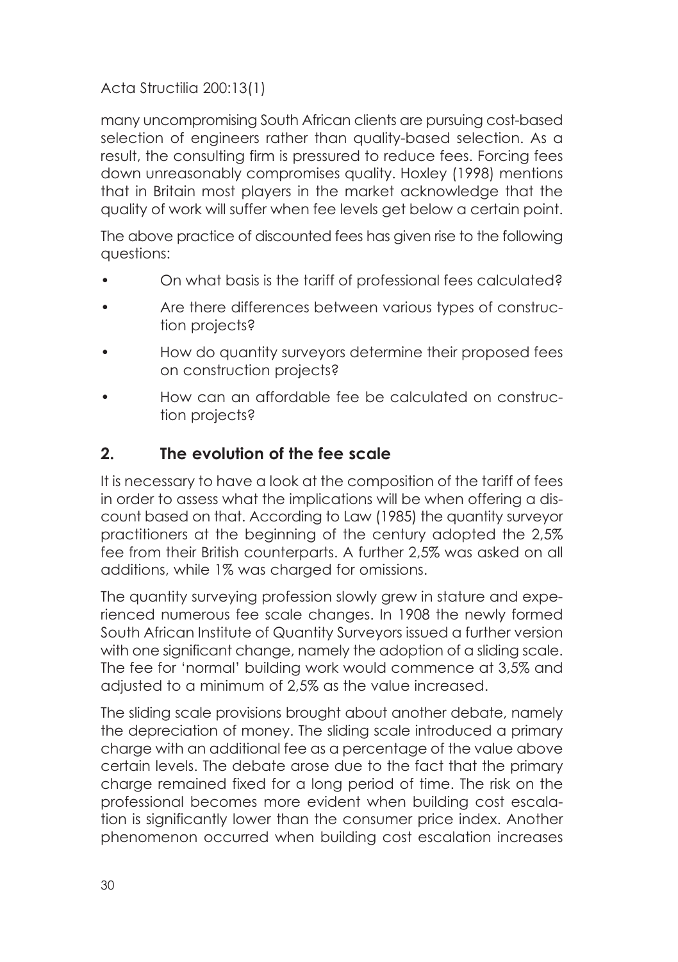many uncompromising South African clients are pursuing cost-based selection of engineers rather than quality-based selection. As a result, the consulting firm is pressured to reduce fees. Forcing fees down unreasonably compromises quality. Hoxley (1998) mentions that in Britain most players in the market acknowledge that the quality of work will suffer when fee levels get below a certain point.

The above practice of discounted fees has given rise to the following questions:

- On what basis is the tariff of professional fees calculated?
- Are there differences between various types of construction projects?
- How do quantity surveyors determine their proposed fees on construction projects?
- How can an affordable fee be calculated on construction projects?

### **2. The evolution of the fee scale**

It is necessary to have a look at the composition of the tariff of fees in order to assess what the implications will be when offering a discount based on that. According to Law (1985) the quantity surveyor practitioners at the beginning of the century adopted the 2,5% fee from their British counterparts. A further 2,5% was asked on all additions, while 1% was charged for omissions.

The quantity surveying profession slowly grew in stature and experienced numerous fee scale changes. In 1908 the newly formed South African Institute of Quantity Surveyors issued a further version with one significant change, namely the adoption of a sliding scale. The fee for 'normal' building work would commence at 3,5% and adjusted to a minimum of 2,5% as the value increased.

The sliding scale provisions brought about another debate, namely the depreciation of money. The sliding scale introduced a primary charge with an additional fee as a percentage of the value above certain levels. The debate arose due to the fact that the primary charge remained fixed for a long period of time. The risk on the professional becomes more evident when building cost escalation is significantly lower than the consumer price index. Another phenomenon occurred when building cost escalation increases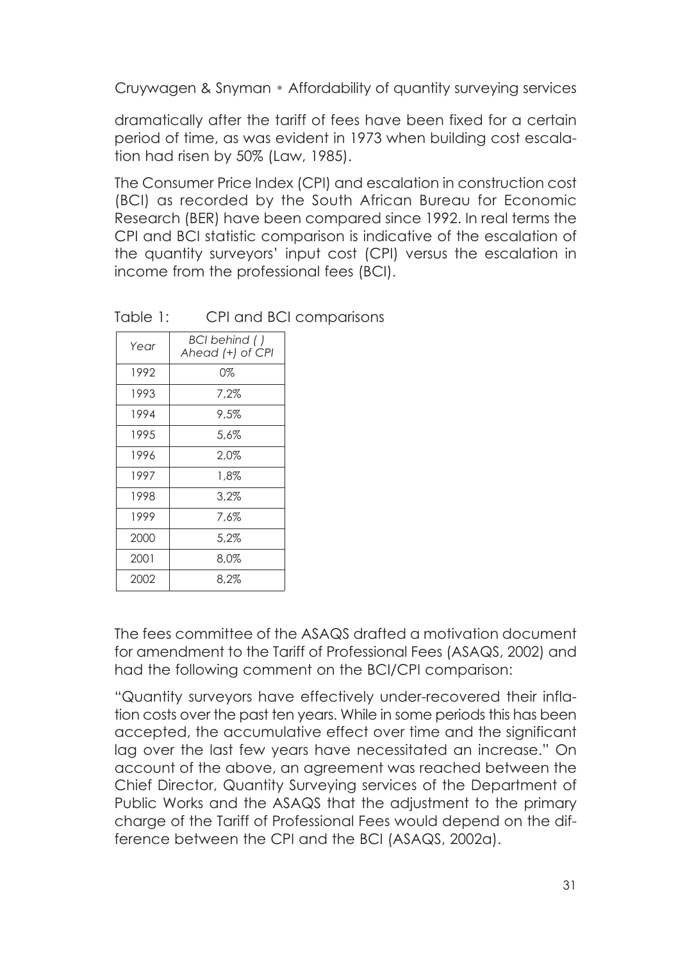dramatically after the tariff of fees have been fixed for a certain period of time, as was evident in 1973 when building cost escalation had risen by 50% (Law, 1985).

The Consumer Price Index (CPI) and escalation in construction cost (BCI) as recorded by the South African Bureau for Economic Research (BER) have been compared since 1992. In real terms the CPI and BCI statistic comparison is indicative of the escalation of the quantity surveyors' input cost (CPI) versus the escalation in income from the professional fees (BCI).

| Year | BCI behind ()<br>Ahead (+) of CPI |  |  |
|------|-----------------------------------|--|--|
| 1992 | 0%                                |  |  |
| 1993 | 7.2%                              |  |  |
| 1994 | 9.5%                              |  |  |
| 1995 | 5.6%                              |  |  |
| 1996 | 2.0%                              |  |  |
| 1997 | 1.8%                              |  |  |
| 1998 | 3.2%                              |  |  |
| 1999 | 7.6%                              |  |  |
| 2000 | 5.2%                              |  |  |
| 2001 | 8.0%                              |  |  |
| 2002 | 8.2%                              |  |  |

Table 1: CPI and BCI comparisons

The fees committee of the ASAQS drafted a motivation document for amendment to the Tariff of Professional Fees (ASAQS, 2002) and had the following comment on the BCI/CPI comparison:

"Quantity surveyors have effectively under-recovered their inflation costs over the past ten years. While in some periods this has been accepted, the accumulative effect over time and the significant lag over the last few years have necessitated an increase." On account of the above, an agreement was reached between the Chief Director, Quantity Surveying services of the Department of Public Works and the ASAQS that the adjustment to the primary charge of the Tariff of Professional Fees would depend on the difference between the CPI and the BCI (ASAQS, 2002a).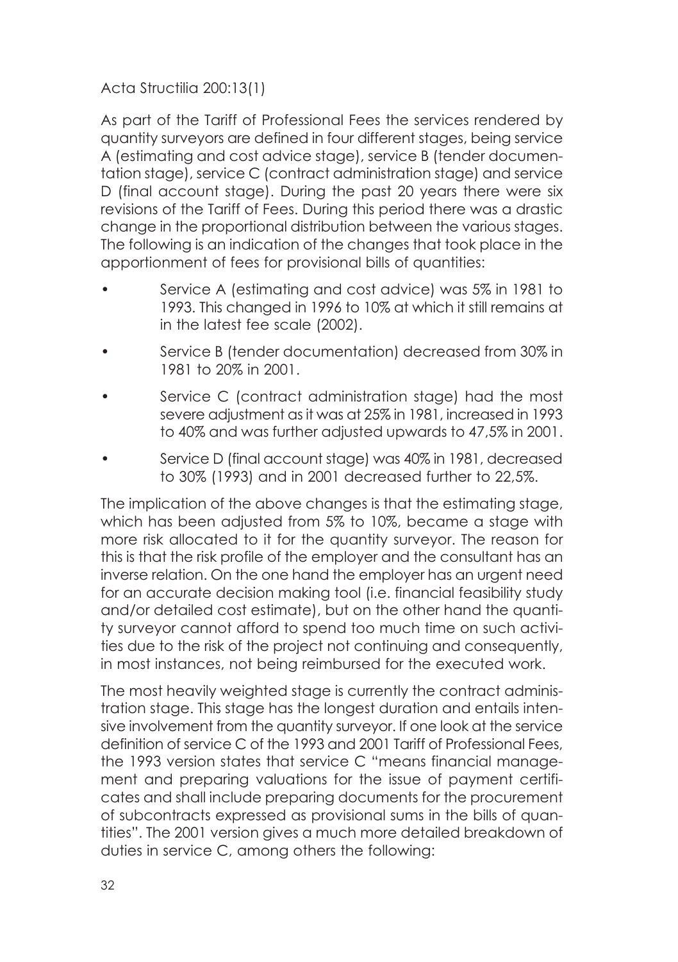As part of the Tariff of Professional Fees the services rendered by quantity surveyors are defined in four different stages, being service A (estimating and cost advice stage), service B (tender documentation stage), service C (contract administration stage) and service D (final account stage). During the past 20 years there were six revisions of the Tariff of Fees. During this period there was a drastic change in the proportional distribution between the various stages. The following is an indication of the changes that took place in the apportionment of fees for provisional bills of quantities:

- Service A (estimating and cost advice) was 5% in 1981 to 1993. This changed in 1996 to 10% at which it still remains at in the latest fee scale (2002).
- Service B (tender documentation) decreased from 30% in 1981 to 20% in 2001.
- Service C (contract administration stage) had the most severe adjustment as it was at 25% in 1981, increased in 1993 to 40% and was further adjusted upwards to 47,5% in 2001.
- Service D (final account stage) was 40% in 1981, decreased to 30% (1993) and in 2001 decreased further to 22,5%.

The implication of the above changes is that the estimating stage, which has been adjusted from 5% to 10%, became a stage with more risk allocated to it for the quantity surveyor. The reason for this is that the risk profile of the employer and the consultant has an inverse relation. On the one hand the employer has an urgent need for an accurate decision making tool (i.e. financial feasibility study and/or detailed cost estimate), but on the other hand the quantity surveyor cannot afford to spend too much time on such activities due to the risk of the project not continuing and consequently, in most instances, not being reimbursed for the executed work.

The most heavily weighted stage is currently the contract administration stage. This stage has the longest duration and entails intensive involvement from the quantity surveyor. If one look at the service definition of service C of the 1993 and 2001 Tariff of Professional Fees, the 1993 version states that service C "means financial management and preparing valuations for the issue of payment certificates and shall include preparing documents for the procurement of subcontracts expressed as provisional sums in the bills of quantities". The 2001 version gives a much more detailed breakdown of duties in service C, among others the following: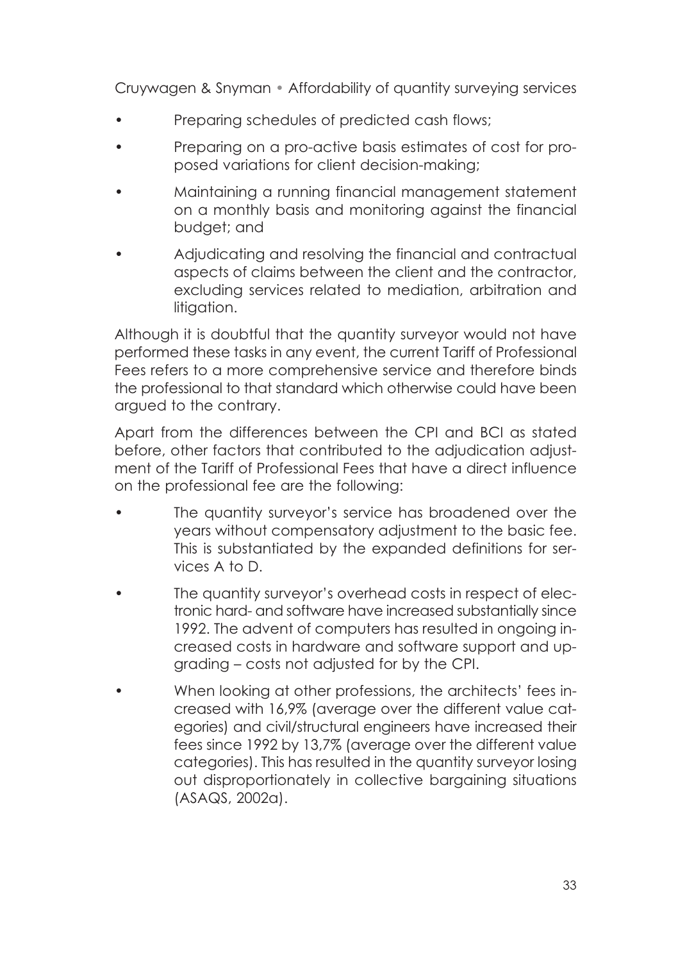- Preparing schedules of predicted cash flows;
- Preparing on a pro-active basis estimates of cost for proposed variations for client decision-making;
- Maintaining a running financial management statement on a monthly basis and monitoring against the financial budget; and
- Adjudicating and resolving the financial and contractual aspects of claims between the client and the contractor, excluding services related to mediation, arbitration and litiaation.

Although it is doubtful that the quantity surveyor would not have performed these tasks in any event, the current Tariff of Professional Fees refers to a more comprehensive service and therefore binds the professional to that standard which otherwise could have been argued to the contrary.

Apart from the differences between the CPI and BCI as stated before, other factors that contributed to the adjudication adjustment of the Tariff of Professional Fees that have a direct influence on the professional fee are the following:

- The quantity surveyor's service has broadened over the years without compensatory adjustment to the basic fee. This is substantiated by the expanded definitions for services A to D.
- The quantity surveyor's overhead costs in respect of electronic hard- and software have increased substantially since 1992. The advent of computers has resulted in ongoing increased costs in hardware and software support and upgrading – costs not adjusted for by the CPI.
- When looking at other professions, the architects' fees increased with 16,9% (average over the different value categories) and civil/structural engineers have increased their fees since 1992 by 13,7% (average over the different value categories). This has resulted in the quantity surveyor losing out disproportionately in collective bargaining situations (ASAQS, 2002a).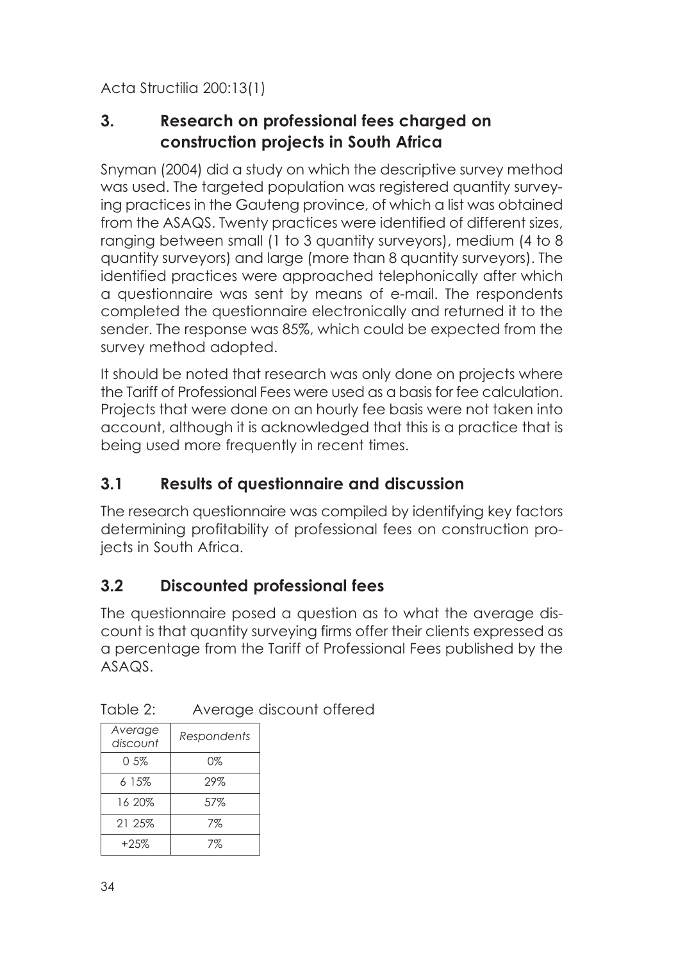### **3. Research on professional fees charged on construction projects in South Africa**

Snyman (2004) did a study on which the descriptive survey method was used. The targeted population was registered quantity surveying practices in the Gauteng province, of which a list was obtained from the ASAQS. Twenty practices were identified of different sizes, ranging between small (1 to 3 quantity surveyors), medium (4 to 8 quantity surveyors) and large (more than 8 quantity surveyors). The identified practices were approached telephonically after which a questionnaire was sent by means of e-mail. The respondents completed the questionnaire electronically and returned it to the sender. The response was 85%, which could be expected from the survey method adopted.

It should be noted that research was only done on projects where the Tariff of Professional Fees were used as a basis for fee calculation. Projects that were done on an hourly fee basis were not taken into account, although it is acknowledged that this is a practice that is being used more frequently in recent times.

### **3.1 Results of questionnaire and discussion**

The research questionnaire was compiled by identifying key factors determining profitability of professional fees on construction projects in South Africa.

### **3.2 Discounted professional fees**

The questionnaire posed a question as to what the average discount is that quantity surveying firms offer their clients expressed as a percentage from the Tariff of Professional Fees published by the ASAQS.

| Table 2: | Average discount offered |  |
|----------|--------------------------|--|
|----------|--------------------------|--|

| Average<br>discount | Respondents |
|---------------------|-------------|
| 0.5%                | $0\%$       |
| 6 15%               | 29%         |
| 16 20%              | 57%         |
| 21 25%              | 7%          |
| $+2.5\%$            | 7%          |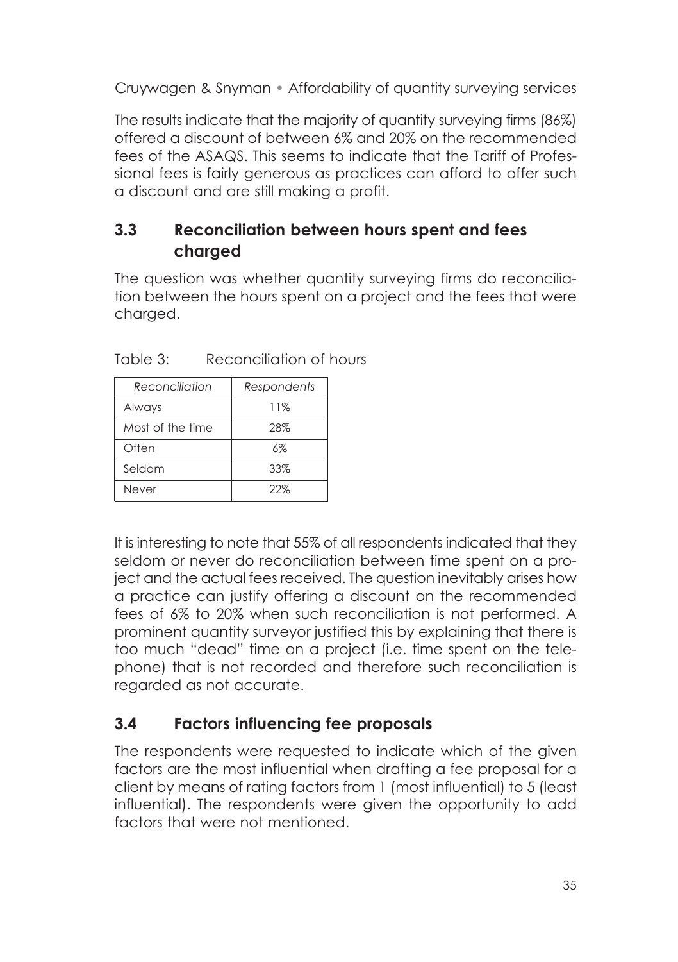The results indicate that the majority of quantity surveying firms (86%) offered a discount of between 6% and 20% on the recommended fees of the ASAQS. This seems to indicate that the Tariff of Professional fees is fairly generous as practices can afford to offer such a discount and are still making a profit.

### **3.3 Reconciliation between hours spent and fees charged**

The question was whether quantity surveying firms do reconciliation between the hours spent on a project and the fees that were charged.

| Reconciliation   | Respondents |
|------------------|-------------|
| Always           | 11%         |
| Most of the time | 28%         |
| Often            | 6%          |
| Seldom           | 33%         |
| Never            | 22%         |

Table 3: Reconciliation of hours

It is interesting to note that 55% of all respondents indicated that they seldom or never do reconciliation between time spent on a project and the actual fees received. The question inevitably arises how a practice can justify offering a discount on the recommended fees of 6% to 20% when such reconciliation is not performed. A prominent quantity surveyor justified this by explaining that there is too much "dead" time on a project (i.e. time spent on the telephone) that is not recorded and therefore such reconciliation is regarded as not accurate.

# **3.4 Factors influencing fee proposals**

The respondents were requested to indicate which of the given factors are the most influential when drafting a fee proposal for a client by means of rating factors from 1 (most influential) to 5 (least influential). The respondents were given the opportunity to add factors that were not mentioned.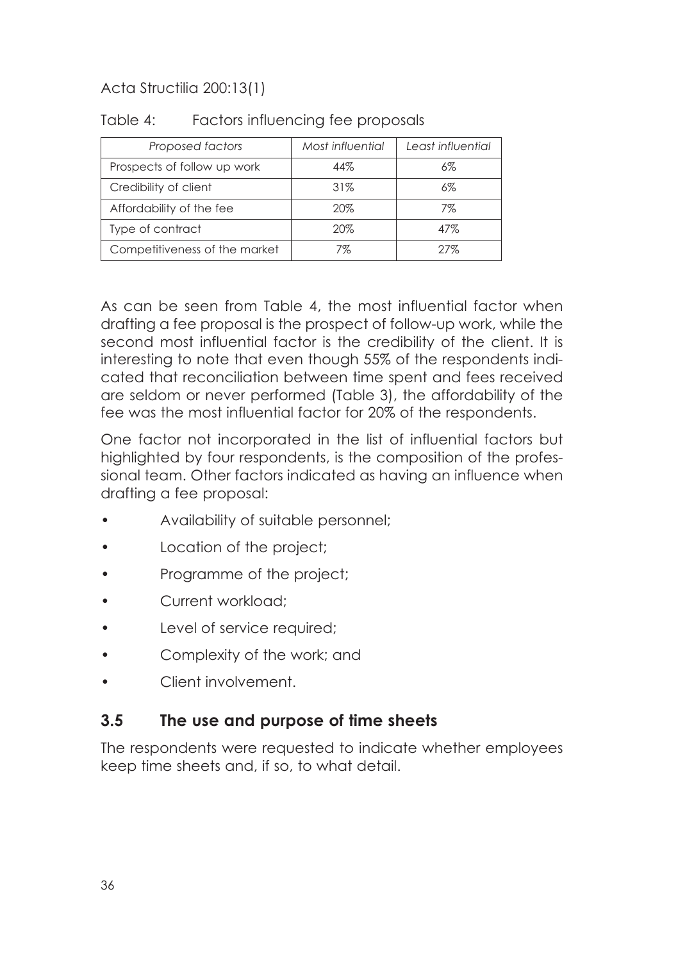| Proposed factors              | Most influential | Least influential |  |
|-------------------------------|------------------|-------------------|--|
| Prospects of follow up work   | 44%              | 6%                |  |
| Credibility of client         | 31%<br>6%        |                   |  |
| Affordability of the fee      | 20%              | 7%                |  |
| Type of contract              | 20%              | 47%               |  |
| Competitiveness of the market | 7%               | 27%               |  |

#### Table 4: Factors influencing fee proposals

As can be seen from Table 4, the most influential factor when drafting a fee proposal is the prospect of follow-up work, while the second most influential factor is the credibility of the client. It is interesting to note that even though 55% of the respondents indicated that reconciliation between time spent and fees received are seldom or never performed (Table 3), the affordability of the fee was the most influential factor for 20% of the respondents.

One factor not incorporated in the list of influential factors but highlighted by four respondents, is the composition of the professional team. Other factors indicated as having an influence when drafting a fee proposal:

- Availability of suitable personnel;
- Location of the project;
- Programme of the project;
- Current workload:
- Level of service required:
- Complexity of the work; and
- Client involvement.

### **3.5 The use and purpose of time sheets**

The respondents were requested to indicate whether employees keep time sheets and, if so, to what detail.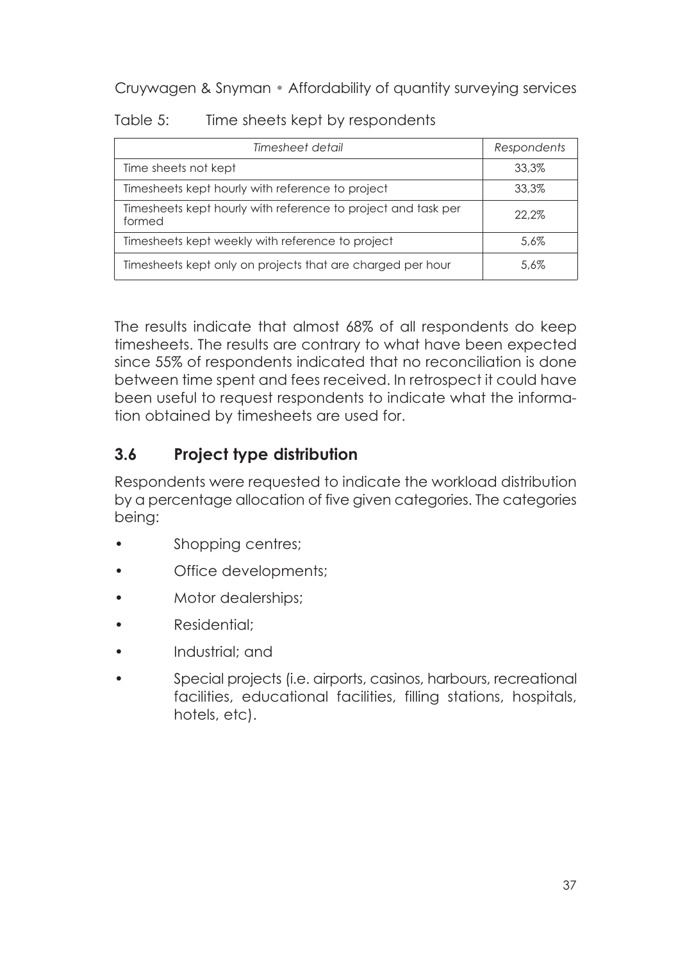| Table 5: |  |  | Time sheets kept by respondents |
|----------|--|--|---------------------------------|
|----------|--|--|---------------------------------|

| Timesheet detail                                                        | Respondents |
|-------------------------------------------------------------------------|-------------|
| Time sheets not kept                                                    | 33.3%       |
| Timesheets kept hourly with reference to project                        | 33.3%       |
| Timesheets kept hourly with reference to project and task per<br>formed | 22.2%       |
| Timesheets kept weekly with reference to project                        | 5.6%        |
| Timesheets kept only on projects that are charged per hour              | 5.6%        |

The results indicate that almost 68% of all respondents do keep timesheets. The results are contrary to what have been expected since 55% of respondents indicated that no reconciliation is done between time spent and fees received. In retrospect it could have been useful to request respondents to indicate what the information obtained by timesheets are used for.

### **3.6 Project type distribution**

Respondents were requested to indicate the workload distribution by a percentage allocation of five given categories. The categories being:

- Shopping centres;
- Office developments;
- Motor dealerships;
- Residential;
- Industrial; and
- Special projects (i.e. airports, casinos, harbours, recreational facilities, educational facilities, filling stations, hospitals, hotels, etc).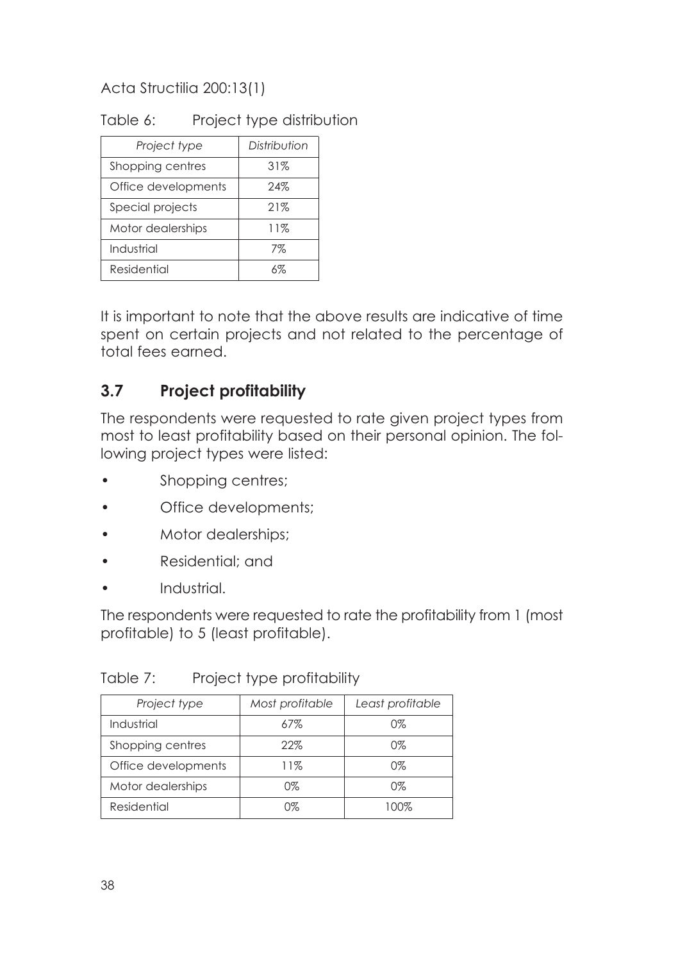### Table 6: Project type distribution

| Project type        | Distribution |  |
|---------------------|--------------|--|
| Shopping centres    | 31%          |  |
| Office developments | 24%          |  |
| Special projects    | 21%          |  |
| Motor dealerships   | 11%          |  |
| Industrial          | 7%           |  |
| Residential         | 6%           |  |

It is important to note that the above results are indicative of time spent on certain projects and not related to the percentage of total fees earned.

### **3.7 Project profitability**

The respondents were requested to rate given project types from most to least profitability based on their personal opinion. The following project types were listed:

- Shopping centres;
- Office developments;
- Motor dealerships;
- Residential; and
- Industrial.

The respondents were requested to rate the profitability from 1 (most profitable) to 5 (least profitable).

Table 7: Project type profitability

| Project type        | Most profitable | Least profitable |  |
|---------------------|-----------------|------------------|--|
| Industrial          | 67%             | 0%               |  |
| Shopping centres    | 22%             | 0%               |  |
| Office developments | 11%             | 0%               |  |
| Motor dealerships   | 0%              | 0%               |  |
| Residential         | 0%              | 100%             |  |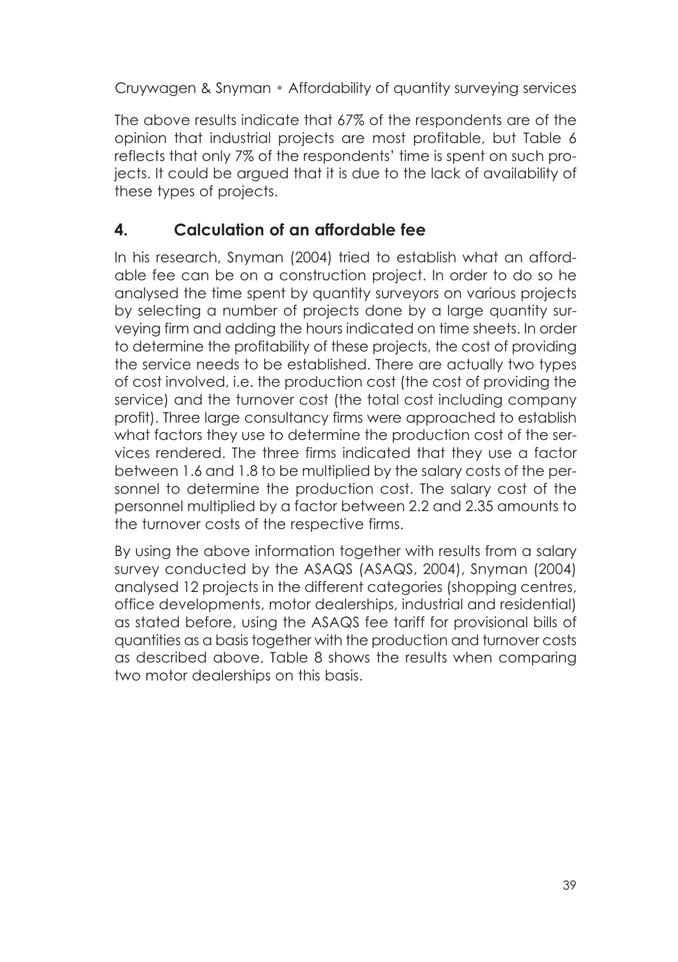The above results indicate that 67% of the respondents are of the opinion that industrial projects are most profitable, but Table 6 reflects that only 7% of the respondents' time is spent on such projects. It could be argued that it is due to the lack of availability of these types of projects.

## **4. Calculation of an affordable fee**

In his research, Snyman (2004) tried to establish what an affordable fee can be on a construction project. In order to do so he analysed the time spent by quantity surveyors on various projects by selecting a number of projects done by a large quantity surveying firm and adding the hours indicated on time sheets. In order to determine the profitability of these projects, the cost of providing the service needs to be established. There are actually two types of cost involved, i.e. the production cost (the cost of providing the service) and the turnover cost (the total cost including company profit). Three large consultancy firms were approached to establish what factors they use to determine the production cost of the services rendered. The three firms indicated that they use a factor between 1.6 and 1.8 to be multiplied by the salary costs of the personnel to determine the production cost. The salary cost of the personnel multiplied by a factor between 2.2 and 2.35 amounts to the turnover costs of the respective firms.

By using the above information together with results from a salary survey conducted by the ASAQS (ASAQS, 2004), Snyman (2004) analysed 12 projects in the different categories (shopping centres, office developments, motor dealerships, industrial and residential) as stated before, using the ASAQS fee tariff for provisional bills of quantities as a basis together with the production and turnover costs as described above. Table 8 shows the results when comparing two motor dealerships on this basis.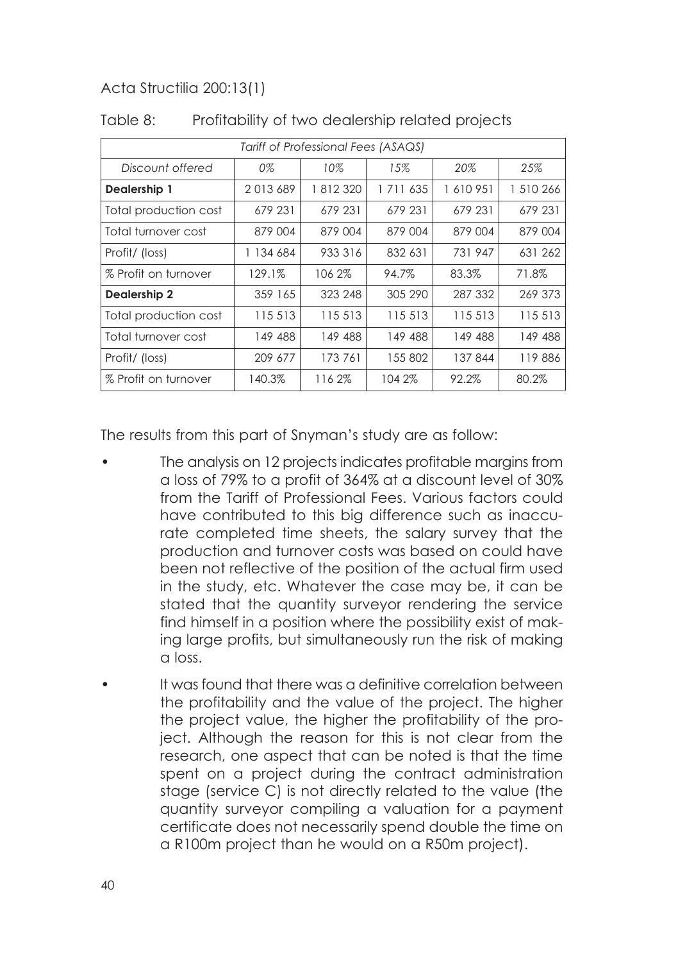| Tariff of Professional Fees (ASAQS) |           |         |               |         |           |
|-------------------------------------|-----------|---------|---------------|---------|-----------|
| Discount offered                    | 0%        | 10%     | 15%           | 20%     | 25%       |
| Dealership 1                        | 2013689   | 1812320 | 1 7 1 1 6 3 5 | 1610951 | 1 510 266 |
| Total production cost               | 679 231   | 679 231 | 679 231       | 679 231 | 679 231   |
| Total turnover cost                 | 879 004   | 879 004 | 879 004       | 879 004 | 879 004   |
| Profit/ (loss)                      | 1 134 684 | 933 316 | 832 631       | 731 947 | 631 262   |
| % Profit on turnover                | 129.1%    | 106 2%  | 94.7%         | 83.3%   | 71.8%     |
| <b>Dealership 2</b>                 | 359 165   | 323 248 | 305 290       | 287 332 | 269 373   |
| Total production cost               | 115 513   | 115 513 | 115 513       | 115 513 | 115 513   |
| Total turnover cost                 | 149 488   | 149 488 | 149 488       | 149 488 | 149 488   |
| Profit/ (loss)                      | 209 677   | 173761  | 155802        | 137 844 | 119886    |
| % Profit on turnover                | 140.3%    | 1162%   | 104 2%        | 92.2%   | 80.2%     |

Table 8: Profitability of two dealership related projects

The results from this part of Snyman's study are as follow:

- The analysis on 12 projects indicates profitable margins from a loss of 79% to a profit of 364% at a discount level of 30% from the Tariff of Professional Fees. Various factors could have contributed to this big difference such as inaccurate completed time sheets, the salary survey that the production and turnover costs was based on could have been not reflective of the position of the actual firm used in the study, etc. Whatever the case may be, it can be stated that the quantity surveyor rendering the service find himself in a position where the possibility exist of making large profits, but simultaneously run the risk of making a loss.
- It was found that there was a definitive correlation between the profitability and the value of the project. The higher the project value, the higher the profitability of the project. Although the reason for this is not clear from the research, one aspect that can be noted is that the time spent on a project during the contract administration stage (service C) is not directly related to the value (the quantity surveyor compiling a valuation for a payment certificate does not necessarily spend double the time on a R100m project than he would on a R50m project).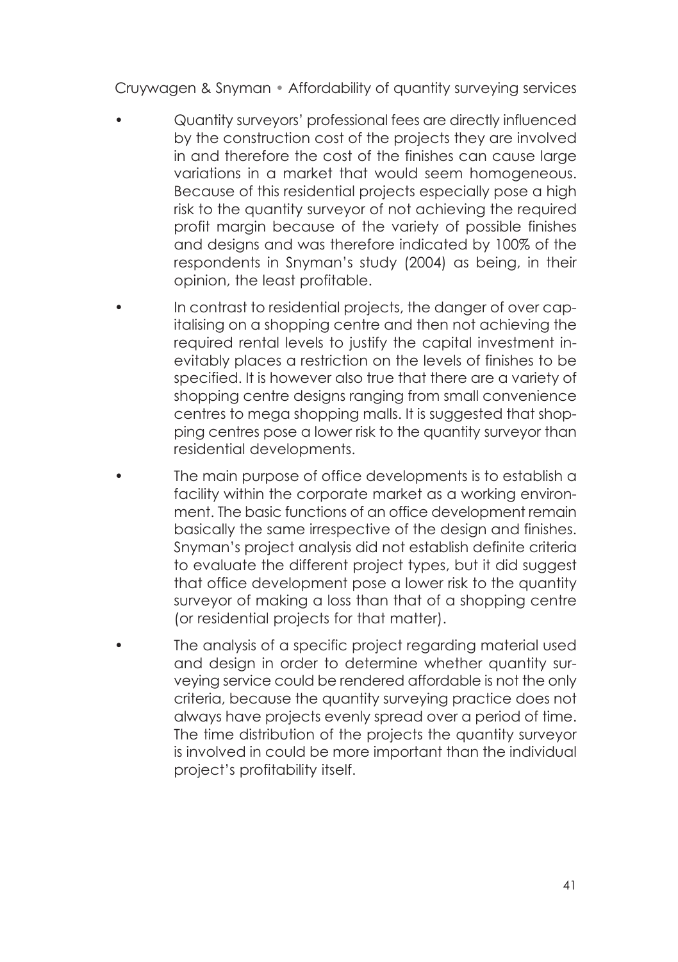- Quantity surveyors' professional fees are directly influenced by the construction cost of the projects they are involved in and therefore the cost of the finishes can cause large variations in a market that would seem homogeneous. Because of this residential projects especially pose a high risk to the quantity surveyor of not achieving the required profit margin because of the variety of possible finishes and designs and was therefore indicated by 100% of the respondents in Snyman's study (2004) as being, in their opinion, the least profitable.
- In contrast to residential projects, the danger of over capitalising on a shopping centre and then not achieving the required rental levels to justify the capital investment inevitably places a restriction on the levels of finishes to be specified. It is however also true that there are a variety of shopping centre designs ranging from small convenience centres to mega shopping malls. It is suggested that shopping centres pose a lower risk to the quantity surveyor than residential developments.
- The main purpose of office developments is to establish a facility within the corporate market as a working environment. The basic functions of an office development remain basically the same irrespective of the design and finishes. Snyman's project analysis did not establish definite criteria to evaluate the different project types, but it did suggest that office development pose a lower risk to the quantity surveyor of making a loss than that of a shopping centre (or residential projects for that matter).
- The analysis of a specific project regarding material used and design in order to determine whether quantity surveying service could be rendered affordable is not the only criteria, because the quantity surveying practice does not always have projects evenly spread over a period of time. The time distribution of the projects the quantity surveyor is involved in could be more important than the individual project's profitability itself.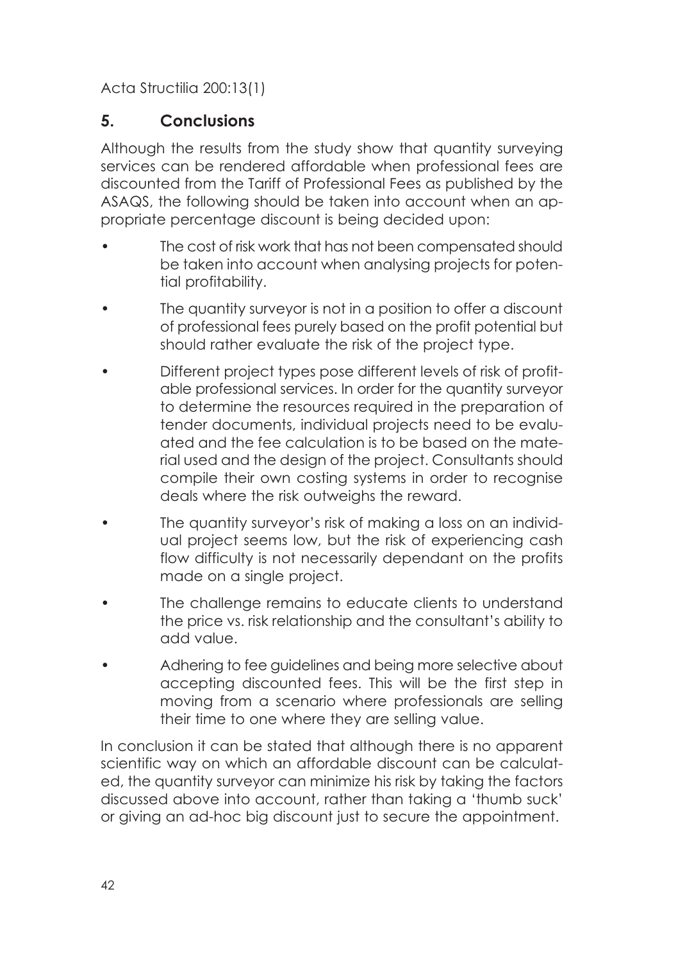### **5. Conclusions**

Although the results from the study show that quantity surveying services can be rendered affordable when professional fees are discounted from the Tariff of Professional Fees as published by the ASAQS, the following should be taken into account when an appropriate percentage discount is being decided upon:

- The cost of risk work that has not been compensated should be taken into account when analysing projects for potential profitability.
- The quantity surveyor is not in a position to offer a discount of professional fees purely based on the profit potential but should rather evaluate the risk of the project type.
- Different project types pose different levels of risk of profitable professional services. In order for the quantity surveyor to determine the resources required in the preparation of tender documents, individual projects need to be evaluated and the fee calculation is to be based on the material used and the design of the project. Consultants should compile their own costing systems in order to recognise deals where the risk outweighs the reward.
- The quantity surveyor's risk of making a loss on an individual project seems low, but the risk of experiencing cash flow difficulty is not necessarily dependant on the profits made on a single project.
- The challenge remains to educate clients to understand the price vs. risk relationship and the consultant's ability to add value.
- Adhering to fee guidelines and being more selective about accepting discounted fees. This will be the first step in moving from a scenario where professionals are selling their time to one where they are selling value.

In conclusion it can be stated that although there is no apparent scientific way on which an affordable discount can be calculated, the quantity surveyor can minimize his risk by taking the factors discussed above into account, rather than taking a 'thumb suck' or giving an ad-hoc big discount just to secure the appointment.